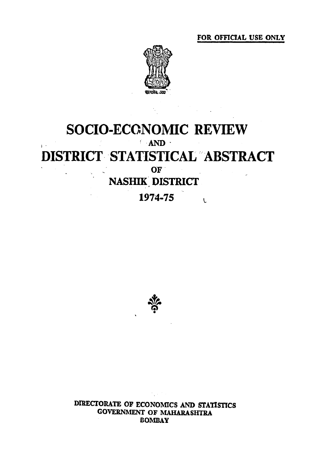FOR OFFICIAL USE ONLY



## SOCIO-ECCNOMIC REVIEW  $AMD$ DISTRICT STATISTICAL ABSTRACT OF NASHIK DISTRICT 1974-75  $\overline{L}$



DIRECTORATE OF ECONOMICS AND STATISTICS **GOVERNMENT OF MAHARASHTRA BOMBAY**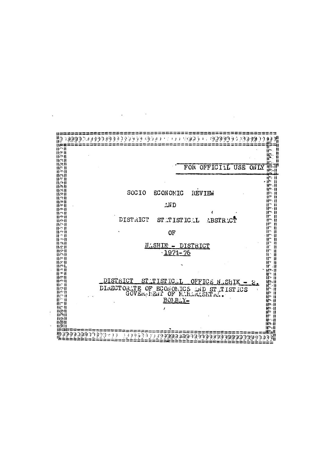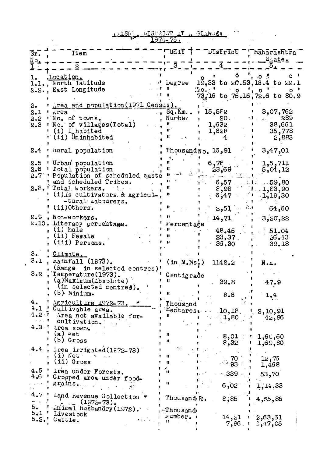## unash, bishkici il a Gladves:

 $\mathcal{L}^{\text{max}}_{\text{max}}$  and  $\mathcal{L}^{\text{max}}_{\text{max}}$ 

| $\overline{\text{Sr.}}$       | Item                                                                                                                                                                         |                                                            | $T$ Unit $T$ $T$ $T$ UIstrict $T$ $T$ Maharashtra                                                                                                                 | <u>State.</u>                                                     |
|-------------------------------|------------------------------------------------------------------------------------------------------------------------------------------------------------------------------|------------------------------------------------------------|-------------------------------------------------------------------------------------------------------------------------------------------------------------------|-------------------------------------------------------------------|
| $\mathbf{N}^{\bullet}$        |                                                                                                                                                                              |                                                            |                                                                                                                                                                   | ၁.                                                                |
|                               | Location.<br>1.1., North latitude<br>2.2., East Longitude                                                                                                                    | $\cdots$ $\cdots$ begree<br>11.                            | $\delta$ '<br>$15,33$ to $20.53,16.4$ to $22.1$<br>$\begin{array}{cc} 1.0 & 1 & 0 & 1 & 0 & 0 \\ 73.16 & \text{to} & 75.16 & 72.6 & \text{to} & 80.9 \end{array}$ | $\mathbf{o}$<br>1.02                                              |
|                               | 2. The and population (1971 Census).<br>$2.1$ ' $\mu$ rea<br>2.2 'No. of towns.<br>2.3 Wo. of villages (Total)<br>(i) L'habited<br>$\mathbf{r}$ (ii) Uninhabited             | $\cdot$ , Sq. $\bar{K}$ m., t<br>, Number<br>Ħ<br>n.<br>Ħ. | 15,552<br>$20 -$<br>1,632<br>1,628<br>$4^{\circ}$                                                                                                                 | 3,07,762<br>289<br>$2.2 - 3.7 - 1.7$<br>38,661<br>35,778<br>2,883 |
|                               | 2.4 ' Kural population                                                                                                                                                       |                                                            | ThousandNo. 16,91                                                                                                                                                 | 3,47,01                                                           |
|                               | 2.5 ' Urban' population<br>2.6 ' Total population<br>2.7 Population of scheduled caste<br>' and scheduled Tribes.                                                            |                                                            | 6,75<br>23,69                                                                                                                                                     | 1, 5, 711<br>5,04,12<br>$6,57$ $10,59,80$                         |
|                               | 2.8.'Total workers.<br>' (i) is cultivators & Agricul-,<br>-tural Labourers.<br>$(ii)$ Others.                                                                               |                                                            | 8,98<br>6,47<br>2,51<br>€.,                                                                                                                                       | 1.1, 23, 90<br>,1,19,30<br>64,60                                  |
|                               | 2.9, Non-workers,<br>2.10, Literacy percentage.<br>(i) Male<br>(ii) Female<br>(iii) Persons.                                                                                 | Ħ<br>' Percentage                                          | 14,71<br>48.45<br>$23.37$ .<br>36.30                                                                                                                              | $-3,20,22$<br>51.04<br>26.43<br>39.18                             |
| з.<br>3.1                     | Climate.<br>kainfall (1973).<br>(Range, in selected centres)'<br>3.2 Temperature(1973).<br>$(a)$ Maximum $(\Lambda$ bsol $\cup$ te)<br>(in selected centres).<br>(b) Minium. | (in M.Ms!)<br>Centigrade                                   | 1148.2<br>.39.8<br>8.6                                                                                                                                            | N.a.<br>47.9<br>1.4                                               |
| 4.<br>4.1<br>17 J. J<br>4.3·1 | ' Agriculture 1972-73.<br>' Cultivable area.<br>4.2 <sup>t</sup> Area not available for-<br>cultivation.<br>Area sown.<br>(a) <sup>W</sup> et<br>(b) Gross                   | Thousand<br>11<br>11<br>u                                  | ${}^{\text{Hectares}} \cdots 10,18$<br>$\left(1,80\right)$<br>л<br>8,01<br>8,32                                                                                   | 1, 2, 10, 91<br>42,96<br>1,60,60<br>1,69,80                       |
| 4.4                           | Area irrigated(1972-73)<br>$(i)$ Net<br>(ii) Gross                                                                                                                           | n<br>$\mathbf{u}$                                          | 70<br>$~10^{14}$ 93                                                                                                                                               | 76, غ1<br>1,468                                                   |
| $4.5$ '                       | Area under Forests.<br>4.6 ' Cropped area under food-<br>grains.                                                                                                             | 11<br>$\mathbf{u}$                                         | $\cdot$ 339<br>6,02                                                                                                                                               | 53,70<br>1,14,33                                                  |
|                               | 4.7 ' Land Revenue Collection *<br>$(1972 - 73)$ .                                                                                                                           | Thousand Rs.                                               | 8;85                                                                                                                                                              | 4,55,85                                                           |
| 5.                            | inimal Husbandry (1972).<br>5.1' Livestock<br>$5.2.$ ' Cattle.                                                                                                               | -Thousand<br>Number.<br>н                                  | 14,21<br>$7,96$ .                                                                                                                                                 | 2,63,61<br>1,47,05                                                |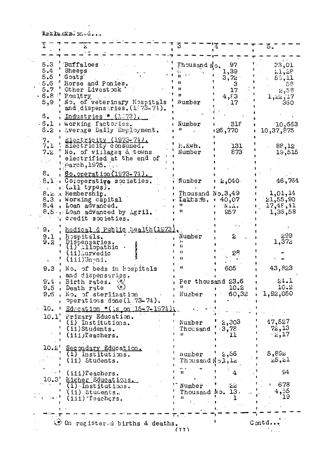$\mathcal{L}$ 

|          |                                           |                                    |               | 3.             |
|----------|-------------------------------------------|------------------------------------|---------------|----------------|
| 5.3      | <b>Buffaloes</b>                          |                                    | 97            |                |
| 5.4      | Sheeps                                    | Thousand No.                       | 1,39          | 33,01          |
| 5.5      | Goats                                     |                                    |               | 52,28          |
| 5.6      | Horse and Ponies.                         |                                    | 3,72          | 59,11          |
| 5.7      | Other Livestock                           |                                    | з<br>17       | 58             |
| $.8.8$ : | Poultry                                   |                                    |               | 2,58           |
| 5,9      | No. of veterinary Hospitals               | $N$ umber                          | 4,83<br>17    | 1,22,17<br>360 |
|          | and dispensaries. $(1.73-71)$ .           |                                    |               |                |
| s.       | Industries # (1873).                      |                                    |               |                |
| $-6.1$   |                                           |                                    |               |                |
|          | Working factories.                        | Number<br>Ħ                        | 318           | 10,663         |
| 6.2      | Average Daily Employment.                 |                                    | 770 و 26:     | 10,37,875      |
| 7.1      | <u> £lectricity (1973–74).</u>            |                                    |               |                |
| 7.1      | Electricity consumed.                     | M.Kwh.                             | 131           | 88,12          |
| 7.2      | No. of villages & towns                   | Number                             | 873           | 19,515         |
|          | electrified at the end of                 |                                    |               |                |
|          | $\text{1}^{\text{1}}$ arch, 1975.         |                                    |               |                |
| 8.       | <u> 60. operation (1973-74).</u>          |                                    |               |                |
|          | 8.1 Coloperative societies.               | Number                             | $2,040 -$     | 46,764         |
|          | $\ldots$ ( $\ldots$ 11 types).            |                                    |               |                |
|          | 8.2 . Membership.                         | Thousand No.3,49                   |               | 1,01,14        |
|          | 8.3, Working capital                      | Lakts R.                           | 40,07         | 21,55,90       |
|          | 8.4, Loan advanced.                       |                                    | N.A.          | 17,48,41       |
|          | 8.5. Loan advanced by Agril.              |                                    | 957           | 1,36,58        |
|          | credit societies.                         |                                    |               |                |
| 9.       | <u> Medical &amp; Public Health(1973)</u> |                                    |               |                |
| 9.1      | Hospitals.                                | Number                             | ટ             | 99ع            |
| 9.2      | Dispensaries.                             | i۱                                 |               | 1,372          |
|          | $(i)$ .11 $i$ opathic                     | Ħ                                  |               |                |
|          | (ii)∴urvedic                              | $\mathbf{H}$<br>Ħ                  | Sö            |                |
|          | (iii)Uneni.                               |                                    |               |                |
| 9.3      | No. of beds in Hospitals                  | 11                                 | 605           | 43,823         |
|          | and dispensarigs.                         |                                    |               |                |
| 9.4      | Birth rates.                              | Per thousand 23.6                  |               | 24.1           |
| 9.5      | Death rate                                |                                    | 10.2          | 10.2           |
|          | 9.6, No. of sterlization                  | , Number                           | 60,32         | 1,92,050       |
|          | Operations done (1.73-74).                |                                    |               |                |
|          | 10. Education $*($ is on $15-7-1974$ )    |                                    |               |                |
| 10.1'    | Primary Education.                        |                                    |               |                |
|          | (i) Institutions.                         | Number                             | 2,303         | 47,527         |
|          | (ii)Students.                             | Thousand                           | $-3,78$       | 72,13          |
|          | $(iii)$ Teachers.                         | 88.                                | 11            | $-2,17$        |
|          |                                           |                                    |               |                |
|          | 10.2' Secondary Education.                |                                    |               |                |
|          | (i) Institutions.                         | wumber                             | 2,56          | 5,89z          |
|          | (ii) Students.                            | $Throssand$ $N$ <sub>2</sub> , $L$ |               | 25,21          |
|          |                                           |                                    |               |                |
|          | $\blacksquare$ (iii) Teachers.            | "                                  | 4             | 94             |
|          | 10.3' Higher Educations.                  |                                    |               | .678           |
|          | $\overline{1}$ . Institutions.            | Number                             | $\mathcal{Z}$ | 4,55           |
|          | (ii) Students.                            | Thousand No. 13.<br>$\mathbf{u}$   |               | 19             |
|          | (iii) Teachers.                           |                                    |               |                |
|          |                                           |                                    |               |                |
|          |                                           |                                    |               |                |

المنتبط أد